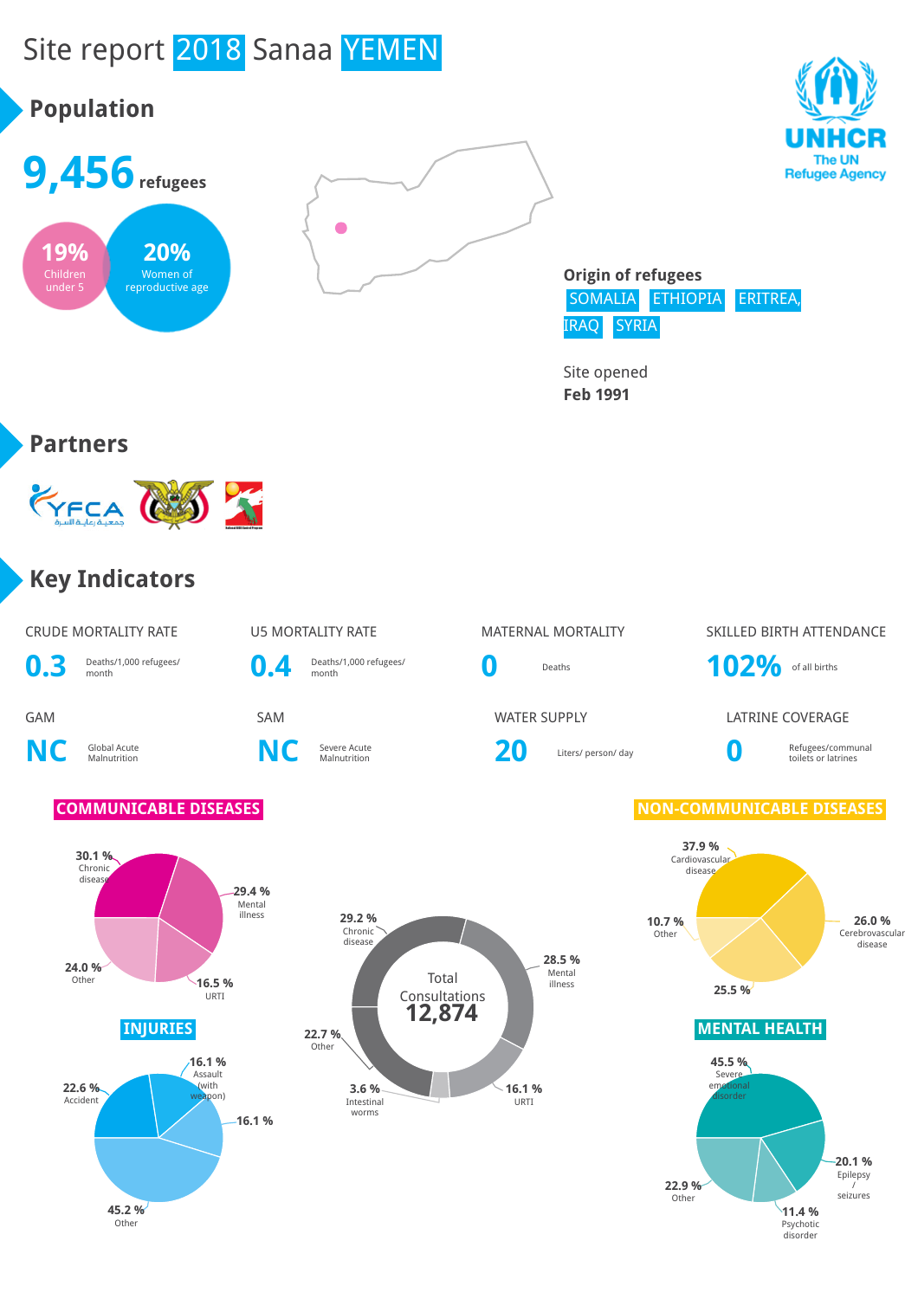# Site report 2018 Sanaa YEMEN

# **Population**







**Origin of refugees** SOMALIA ETHIOPIA ERITREA, IRAQ SYRIA

Site opened **Feb 1991**

#### **Partners**



#### **Key Indicators**

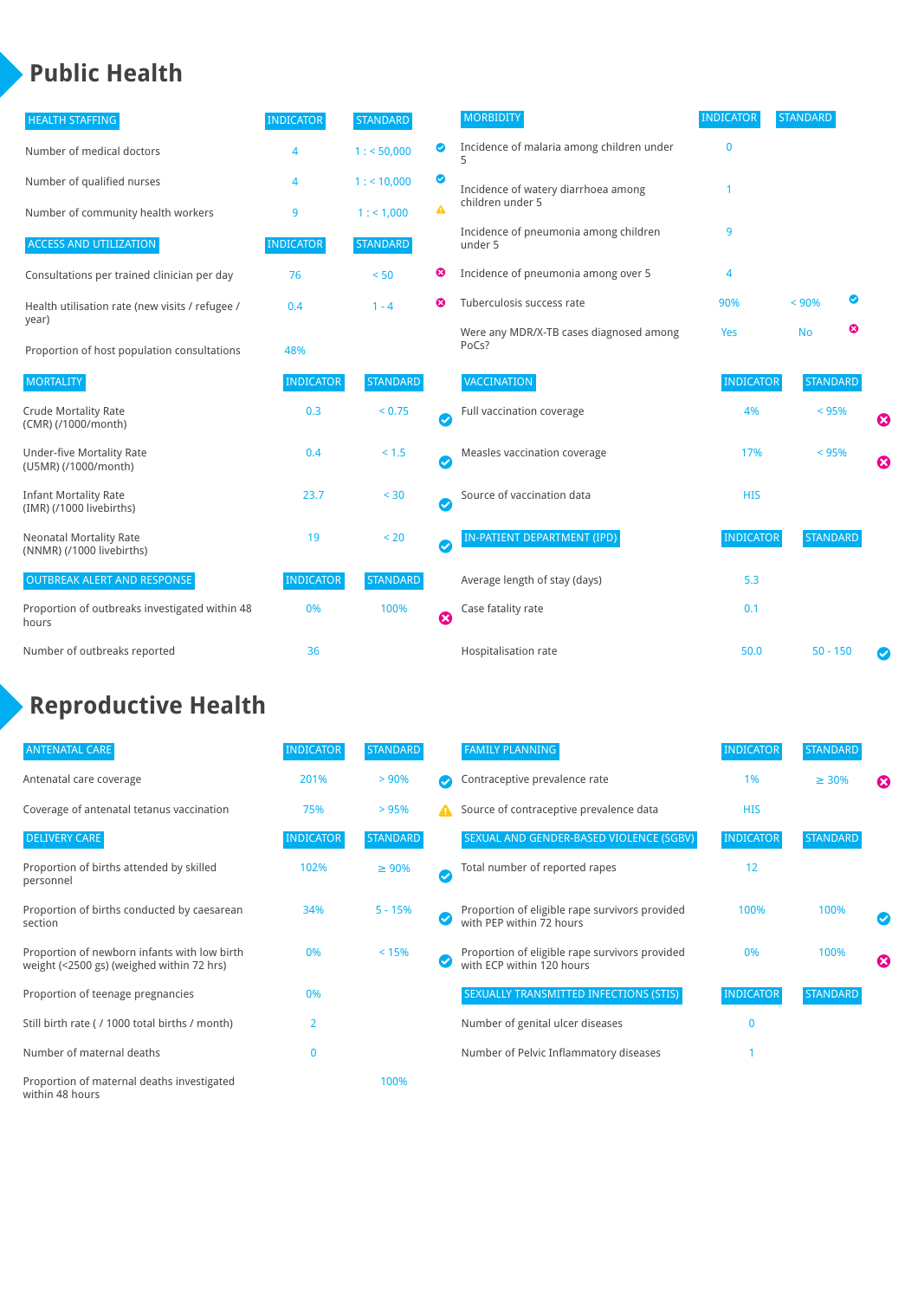### **Public Health**

| <b>HEALTH STAFFING</b>                                      | <b>INDICATOR</b> | <b>STANDARD</b> |                       | <b>MORBIDITY</b>                                 | <b>INDICATOR</b> | <b>STANDARD</b> |   |   |
|-------------------------------------------------------------|------------------|-----------------|-----------------------|--------------------------------------------------|------------------|-----------------|---|---|
| Number of medical doctors                                   | 4                | 1: 50,000       | ◉                     | Incidence of malaria among children under<br>5   | $\mathbf{0}$     |                 |   |   |
| Number of qualified nurses                                  | 4                | 1:10,000        | ◙                     | Incidence of watery diarrhoea among              |                  |                 |   |   |
| Number of community health workers                          | 9                | 1: 1,000        | ▲                     | children under 5                                 |                  |                 |   |   |
| <b>ACCESS AND UTILIZATION</b>                               | <b>INDICATOR</b> | <b>STANDARD</b> |                       | Incidence of pneumonia among children<br>under 5 | 9                |                 |   |   |
| Consultations per trained clinician per day                 | 76               | < 50            | ☺                     | Incidence of pneumonia among over 5              | 4                |                 |   |   |
| Health utilisation rate (new visits / refugee /             | 0.4              | $1 - 4$         | ణ                     | Tuberculosis success rate                        | 90%              | < 90%           | ◙ |   |
| year)<br>Proportion of host population consultations        | 48%              |                 |                       | Were any MDR/X-TB cases diagnosed among<br>PoCs? | Yes              | <b>No</b>       | ೞ |   |
| <b>MORTALITY</b>                                            | <b>INDICATOR</b> | <b>STANDARD</b> |                       | <b>VACCINATION</b>                               | <b>INDICATOR</b> | <b>STANDARD</b> |   |   |
| <b>Crude Mortality Rate</b><br>(CMR) (/1000/month)          | 0.3              | < 0.75          | $\bullet$             | Full vaccination coverage                        | 4%               | < 95%           |   | Ø |
| <b>Under-five Mortality Rate</b><br>(U5MR) (/1000/month)    | 0.4              | < 1.5           | Ø                     | Measles vaccination coverage                     | 17%              | < 95%           |   | 0 |
| <b>Infant Mortality Rate</b><br>(IMR) (/1000 livebirths)    | 23.7             | < 30            | $\boldsymbol{\omega}$ | Source of vaccination data                       | <b>HIS</b>       |                 |   |   |
| <b>Neonatal Mortality Rate</b><br>(NNMR) (/1000 livebirths) | 19               | < 20            | $\bullet$             | <b>IN-PATIENT DEPARTMENT (IPD)</b>               | <b>INDICATOR</b> | <b>STANDARD</b> |   |   |
| <b>OUTBREAK ALERT AND RESPONSE</b>                          | <b>INDICATOR</b> | <b>STANDARD</b> |                       | Average length of stay (days)                    | 5.3              |                 |   |   |
| Proportion of outbreaks investigated within 48<br>hours     | 0%               | 100%            | ೞ                     | Case fatality rate                               | 0.1              |                 |   |   |
| Number of outbreaks reported                                | 36               |                 |                       | Hospitalisation rate                             | 50.0             | $50 - 150$      |   | Ø |

# **Reproductive Health**

| <b>ANTENATAL CARE</b>                                                                     | <b>INDICATOR</b> | <b>STANDARD</b> |   | <b>FAMILY PLANNING</b>                                                      | <b>INDICATOR</b> | STANDARD        |   |
|-------------------------------------------------------------------------------------------|------------------|-----------------|---|-----------------------------------------------------------------------------|------------------|-----------------|---|
| Antenatal care coverage                                                                   | 201%             | > 90%           |   | Contraceptive prevalence rate                                               | 1%               | $\geq 30\%$     | ☎ |
| Coverage of antenatal tetanus vaccination                                                 | 75%              | >95%            | А | Source of contraceptive prevalence data                                     | <b>HIS</b>       |                 |   |
| <b>DELIVERY CARE</b>                                                                      | <b>INDICATOR</b> | <b>STANDARD</b> |   | SEXUAL AND GENDER-BASED VIOLENCE (SGBV)                                     | <b>INDICATOR</b> | <b>STANDARD</b> |   |
| Proportion of births attended by skilled<br>personnel                                     | 102%             | $\geq 90\%$     | ✓ | Total number of reported rapes                                              | 12               |                 |   |
| Proportion of births conducted by caesarean<br>section                                    | 34%              | $5 - 15%$       |   | Proportion of eligible rape survivors provided<br>with PEP within 72 hours  | 100%             | 100%            |   |
| Proportion of newborn infants with low birth<br>weight (<2500 gs) (weighed within 72 hrs) | 0%               | < 15%           |   | Proportion of eligible rape survivors provided<br>with ECP within 120 hours | 0%               | 100%            | ☎ |
| Proportion of teenage pregnancies                                                         | 0%               |                 |   | SEXUALLY TRANSMITTED INFECTIONS (STIS)                                      | <b>INDICATOR</b> | <b>STANDARD</b> |   |
| Still birth rate (/ 1000 total births / month)                                            | $\overline{2}$   |                 |   | Number of genital ulcer diseases                                            | $\mathbf{0}$     |                 |   |
| Number of maternal deaths                                                                 | 0                |                 |   | Number of Pelvic Inflammatory diseases                                      |                  |                 |   |
| Proportion of maternal deaths investigated<br>within 48 hours                             |                  | 100%            |   |                                                                             |                  |                 |   |